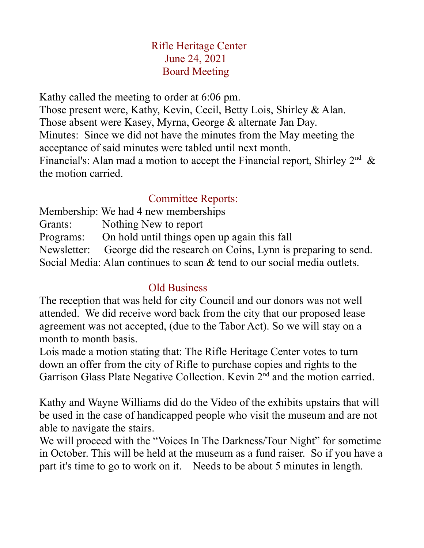## Rifle Heritage Center June 24, 2021 Board Meeting

Kathy called the meeting to order at 6:06 pm.

Those present were, Kathy, Kevin, Cecil, Betty Lois, Shirley & Alan. Those absent were Kasey, Myrna, George & alternate Jan Day. Minutes: Since we did not have the minutes from the May meeting the acceptance of said minutes were tabled until next month. Financial's: Alan mad a motion to accept the Financial report, Shirley  $2<sup>nd</sup>$  & the motion carried.

## Committee Reports:

Membership: We had 4 new memberships Grants: Nothing New to report Programs: On hold until things open up again this fall Newsletter: George did the research on Coins, Lynn is preparing to send. Social Media: Alan continues to scan & tend to our social media outlets.

## Old Business

The reception that was held for city Council and our donors was not well attended. We did receive word back from the city that our proposed lease agreement was not accepted, (due to the Tabor Act). So we will stay on a month to month basis.

Lois made a motion stating that: The Rifle Heritage Center votes to turn down an offer from the city of Rifle to purchase copies and rights to the Garrison Glass Plate Negative Collection. Kevin 2<sup>nd</sup> and the motion carried.

Kathy and Wayne Williams did do the Video of the exhibits upstairs that will be used in the case of handicapped people who visit the museum and are not able to navigate the stairs.

We will proceed with the "Voices In The Darkness/Tour Night" for sometime in October. This will be held at the museum as a fund raiser. So if you have a part it's time to go to work on it. Needs to be about 5 minutes in length.